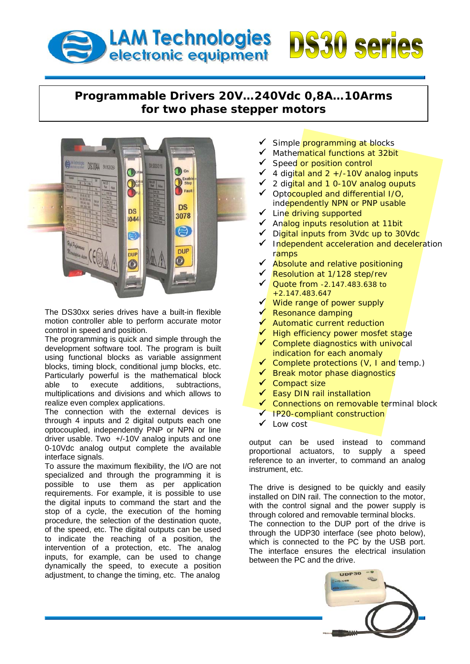## **LAM Technologies**<br>electronic equipment l **0 series**

## **Programmable Drivers 20V…240Vdc 0,8A…10Arms for two phase stepper motors**



The DS30xx series drives have a built-in flexible motion controller able to perform accurate motor control in speed and position.

The programming is quick and simple through the development software tool. The program is built using functional blocks as variable assignment blocks, timing block, conditional jump blocks, etc. Particularly powerful is the mathematical block able to execute additions, subtractions, multiplications and divisions and which allows to realize even complex applications.

The connection with the external devices is through 4 inputs and 2 digital outputs each one optocoupled, independently PNP or NPN or line driver usable. Two +/-10V analog inputs and one 0-10Vdc analog output complete the available interface signals.

To assure the maximum flexibility, the I/O are not specialized and through the programming it is possible to use them as per application requirements. For example, it is possible to use the digital inputs to command the start and the stop of a cycle, the execution of the homing procedure, the selection of the destination quote, of the speed, etc. The digital outputs can be used to indicate the reaching of a position, the intervention of a protection, etc. The analog inputs, for example, can be used to change dynamically the speed, to execute a position adjustment, to change the timing, etc. The analog

- Simple programming at blocks
- Mathematical functions at 32bit
- Speed or position control
- 4 digital and  $2 + (-10V)$  analog inputs
- ✔ 2 digital and 1 0-10V analog ouputs
- √ Optocoupled and differential I/O, independently NPN or PNP usable
- √ Line driving supported
- $\sqrt{ }$  Analog inputs resolution at 11bit
- Digital inputs from 3Vdc up to 30Vdc
- Independent acceleration and deceleration ramps
- Absolute and relative positioning
- ◆ Resolution at 1/128 step/rev
- $\sqrt{}$  Quote from -2.147.483.638 to +2.147.483.647
- $\sqrt{\phantom{a}}$  Wide range of power supply
- Resonance damping
- ◆ Automatic current reduction
- $\checkmark$  High efficiency power mosfet stage
- ✔ Complete diagnostics with univocal indication for each anomaly
- $\checkmark$  Complete protections (V, I and temp.)
- $\checkmark$  Break motor phase diagnostics
- $\checkmark$  Compact size
- **Easy DIN rail installation**
- $\sqrt{\phantom{a}}$  Connections on removable terminal block
- √ IP20-compliant construction
- $\checkmark$  Low cost

reference to an inverter, to command an analog output can be used instead to command proportional actuators, to supply a speed instrument, etc.

The interface ensures the electrical insulation between the PC and the drive. The drive is designed to be quickly and easily installed on DIN rail. The connection to the motor, with the control signal and the power supply is through colored and removable terminal blocks. The connection to the DUP port of the drive is through the UDP30 interface (see photo below), which is connected to the PC by the USB port.